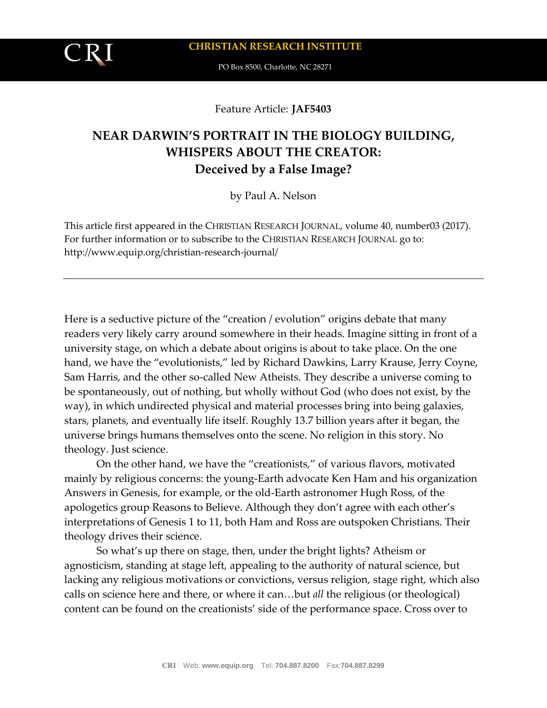

Feature Article: **JAF5403**

## **NEAR DARWIN'S PORTRAIT IN THE BIOLOGY BUILDING, WHISPERS ABOUT THE CREATOR: Deceived by a False Image?**

by Paul A. Nelson

This article first appeared in the CHRISTIAN RESEARCH JOURNAL, volume 40, number03 (2017). For further information or to subscribe to the CHRISTIAN RESEARCH JOURNAL go to: http://www.equip.org/christian-research-journal/

Here is a seductive picture of the "creation / evolution" origins debate that many readers very likely carry around somewhere in their heads. Imagine sitting in front of a university stage, on which a debate about origins is about to take place. On the one hand, we have the "evolutionists," led by Richard Dawkins, Larry Krause, Jerry Coyne, Sam Harris, and the other so-called New Atheists. They describe a universe coming to be spontaneously, out of nothing, but wholly without God (who does not exist, by the way), in which undirected physical and material processes bring into being galaxies, stars, planets, and eventually life itself. Roughly 13.7 billion years after it began, the universe brings humans themselves onto the scene. No religion in this story. No theology. Just science.

On the other hand, we have the "creationists," of various flavors, motivated mainly by religious concerns: the young-Earth advocate Ken Ham and his organization Answers in Genesis, for example, or the old-Earth astronomer Hugh Ross, of the apologetics group Reasons to Believe. Although they don't agree with each other's interpretations of Genesis 1 to 11, both Ham and Ross are outspoken Christians. Their theology drives their science.

So what's up there on stage, then, under the bright lights? Atheism or agnosticism, standing at stage left, appealing to the authority of natural science, but lacking any religious motivations or convictions, versus religion, stage right, which also calls on science here and there, or where it can…but *all* the religious (or theological) content can be found on the creationists' side of the performance space. Cross over to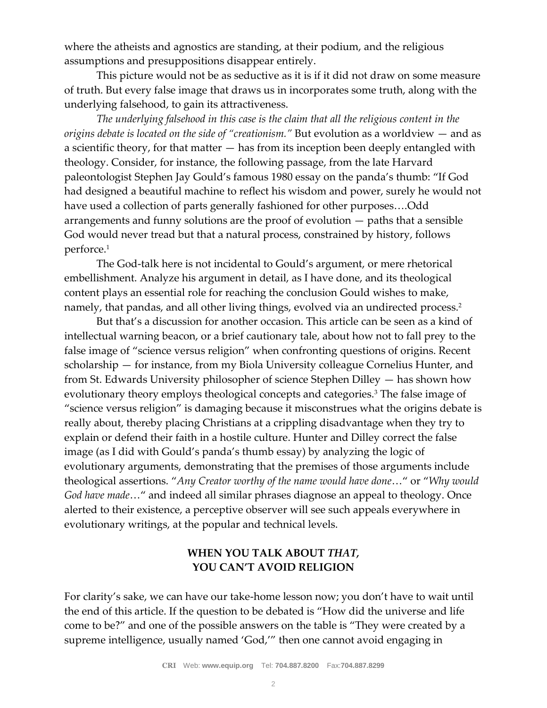where the atheists and agnostics are standing, at their podium, and the religious assumptions and presuppositions disappear entirely.

This picture would not be as seductive as it is if it did not draw on some measure of truth. But every false image that draws us in incorporates some truth, along with the underlying falsehood, to gain its attractiveness.

*The underlying falsehood in this case is the claim that all the religious content in the origins debate is located on the side of "creationism."* But evolution as a worldview — and as a scientific theory, for that matter  $-$  has from its inception been deeply entangled with theology. Consider, for instance, the following passage, from the late Harvard paleontologist Stephen Jay Gould's famous 1980 essay on the panda's thumb: "If God had designed a beautiful machine to reflect his wisdom and power, surely he would not have used a collection of parts generally fashioned for other purposes….Odd arrangements and funny solutions are the proof of evolution — paths that a sensible God would never tread but that a natural process, constrained by history, follows perforce.<sup>1</sup>

The God-talk here is not incidental to Gould's argument, or mere rhetorical embellishment. Analyze his argument in detail, as I have done, and its theological content plays an essential role for reaching the conclusion Gould wishes to make, namely, that pandas, and all other living things, evolved via an undirected process.<sup>2</sup>

But that's a discussion for another occasion. This article can be seen as a kind of intellectual warning beacon, or a brief cautionary tale, about how not to fall prey to the false image of "science versus religion" when confronting questions of origins. Recent scholarship — for instance, from my Biola University colleague Cornelius Hunter, and from St. Edwards University philosopher of science Stephen Dilley — has shown how evolutionary theory employs theological concepts and categories.<sup>3</sup> The false image of "science versus religion" is damaging because it misconstrues what the origins debate is really about, thereby placing Christians at a crippling disadvantage when they try to explain or defend their faith in a hostile culture. Hunter and Dilley correct the false image (as I did with Gould's panda's thumb essay) by analyzing the logic of evolutionary arguments, demonstrating that the premises of those arguments include theological assertions. "*Any Creator worthy of the name would have done*…" or "*Why would God have made*…" and indeed all similar phrases diagnose an appeal to theology. Once alerted to their existence, a perceptive observer will see such appeals everywhere in evolutionary writings, at the popular and technical levels.

## **WHEN YOU TALK ABOUT** *THAT,* **YOU CAN'T AVOID RELIGION**

For clarity's sake, we can have our take-home lesson now; you don't have to wait until the end of this article. If the question to be debated is "How did the universe and life come to be?" and one of the possible answers on the table is "They were created by a supreme intelligence, usually named 'God,'" then one cannot avoid engaging in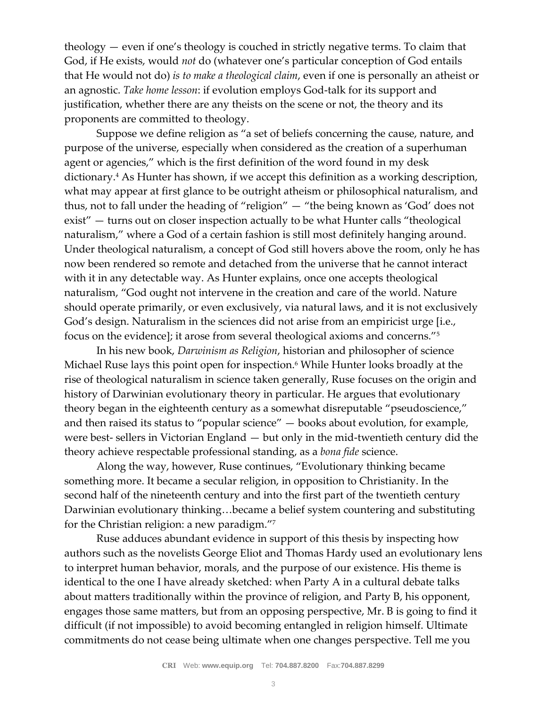theology — even if one's theology is couched in strictly negative terms. To claim that God, if He exists, would *not* do (whatever one's particular conception of God entails that He would not do) *is to make a theological claim*, even if one is personally an atheist or an agnostic. *Take home lesson*: if evolution employs God-talk for its support and justification, whether there are any theists on the scene or not, the theory and its proponents are committed to theology.

Suppose we define religion as "a set of beliefs concerning the cause, nature, and purpose of the universe, especially when considered as the creation of a superhuman agent or agencies," which is the first definition of the word found in my desk dictionary.<sup>4</sup> As Hunter has shown, if we accept this definition as a working description, what may appear at first glance to be outright atheism or philosophical naturalism, and thus, not to fall under the heading of "religion" — "the being known as 'God' does not exist" — turns out on closer inspection actually to be what Hunter calls "theological naturalism," where a God of a certain fashion is still most definitely hanging around. Under theological naturalism, a concept of God still hovers above the room, only he has now been rendered so remote and detached from the universe that he cannot interact with it in any detectable way. As Hunter explains, once one accepts theological naturalism, "God ought not intervene in the creation and care of the world. Nature should operate primarily, or even exclusively, via natural laws, and it is not exclusively God's design. Naturalism in the sciences did not arise from an empiricist urge [i.e., focus on the evidence]; it arose from several theological axioms and concerns."<sup>5</sup>

In his new book, *Darwinism as Religion*, historian and philosopher of science Michael Ruse lays this point open for inspection.<sup>6</sup> While Hunter looks broadly at the rise of theological naturalism in science taken generally, Ruse focuses on the origin and history of Darwinian evolutionary theory in particular. He argues that evolutionary theory began in the eighteenth century as a somewhat disreputable "pseudoscience," and then raised its status to "popular science" — books about evolution, for example, were best- sellers in Victorian England — but only in the mid-twentieth century did the theory achieve respectable professional standing, as a *bona fide* science.

Along the way, however, Ruse continues, "Evolutionary thinking became something more. It became a secular religion, in opposition to Christianity. In the second half of the nineteenth century and into the first part of the twentieth century Darwinian evolutionary thinking…became a belief system countering and substituting for the Christian religion: a new paradigm."<sup>7</sup>

Ruse adduces abundant evidence in support of this thesis by inspecting how authors such as the novelists George Eliot and Thomas Hardy used an evolutionary lens to interpret human behavior, morals, and the purpose of our existence. His theme is identical to the one I have already sketched: when Party A in a cultural debate talks about matters traditionally within the province of religion, and Party B, his opponent, engages those same matters, but from an opposing perspective, Mr. B is going to find it difficult (if not impossible) to avoid becoming entangled in religion himself. Ultimate commitments do not cease being ultimate when one changes perspective. Tell me you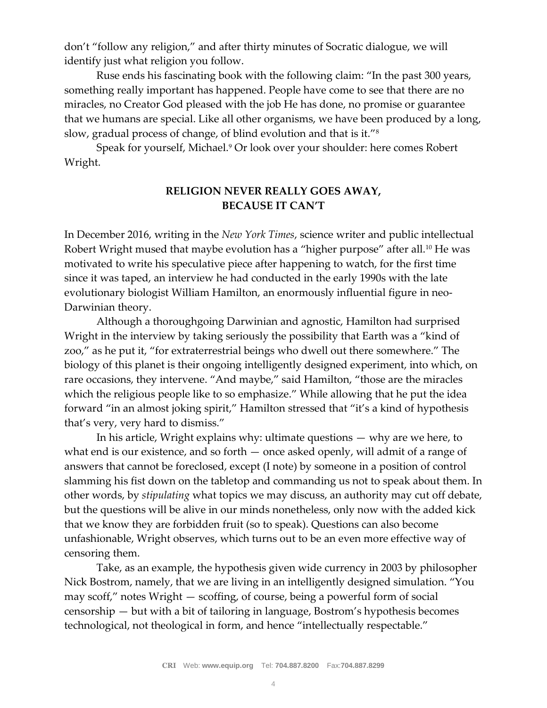don't "follow any religion," and after thirty minutes of Socratic dialogue, we will identify just what religion you follow.

Ruse ends his fascinating book with the following claim: "In the past 300 years, something really important has happened. People have come to see that there are no miracles, no Creator God pleased with the job He has done, no promise or guarantee that we humans are special. Like all other organisms, we have been produced by a long, slow, gradual process of change, of blind evolution and that is it."<sup>8</sup>

Speak for yourself, Michael.<sup>9</sup> Or look over your shoulder: here comes Robert Wright.

## **RELIGION NEVER REALLY GOES AWAY, BECAUSE IT CAN'T**

In December 2016, writing in the *New York Times*, science writer and public intellectual Robert Wright mused that maybe evolution has a "higher purpose" after all.<sup>10</sup> He was motivated to write his speculative piece after happening to watch, for the first time since it was taped, an interview he had conducted in the early 1990s with the late evolutionary biologist William Hamilton, an enormously influential figure in neo-Darwinian theory.

Although a thoroughgoing Darwinian and agnostic, Hamilton had surprised Wright in the interview by taking seriously the possibility that Earth was a "kind of zoo," as he put it, "for extraterrestrial beings who dwell out there somewhere." The biology of this planet is their ongoing intelligently designed experiment, into which, on rare occasions, they intervene. "And maybe," said Hamilton, "those are the miracles which the religious people like to so emphasize." While allowing that he put the idea forward "in an almost joking spirit," Hamilton stressed that "it's a kind of hypothesis that's very, very hard to dismiss."

In his article, Wright explains why: ultimate questions — why are we here, to what end is our existence, and so forth — once asked openly, will admit of a range of answers that cannot be foreclosed, except (I note) by someone in a position of control slamming his fist down on the tabletop and commanding us not to speak about them. In other words, by *stipulating* what topics we may discuss, an authority may cut off debate, but the questions will be alive in our minds nonetheless, only now with the added kick that we know they are forbidden fruit (so to speak). Questions can also become unfashionable, Wright observes, which turns out to be an even more effective way of censoring them.

Take, as an example, the hypothesis given wide currency in 2003 by philosopher Nick Bostrom, namely, that we are living in an intelligently designed simulation. "You may scoff," notes Wright — scoffing, of course, being a powerful form of social censorship — but with a bit of tailoring in language, Bostrom's hypothesis becomes technological, not theological in form, and hence "intellectually respectable."